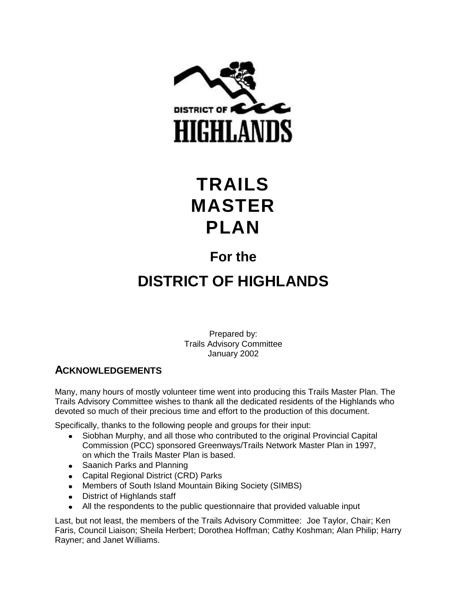

# **TRAILS MASTER PLAN**

## **For the**

# **DISTRICT OF HIGHLANDS**

Prepared by: Trails Advisory Committee January 2002

## **ACKNOWLEDGEMENTS**

Many, many hours of mostly volunteer time went into producing this Trails Master Plan. The Trails Advisory Committee wishes to thank all the dedicated residents of the Highlands who devoted so much of their precious time and effort to the production of this document.

Specifically, thanks to the following people and groups for their input:

- Siobhan Murphy, and all those who contributed to the original Provincial Capital Commission (PCC) sponsored Greenways/Trails Network Master Plan in 1997, on which the Trails Master Plan is based.
- Saanich Parks and Planning
- Capital Regional District (CRD) Parks
- Members of South Island Mountain Biking Society (SIMBS)
- District of Highlands staff
- All the respondents to the public questionnaire that provided valuable input

Last, but not least, the members of the Trails Advisory Committee: Joe Taylor, Chair; Ken Faris, Council Liaison; Sheila Herbert; Dorothea Hoffman; Cathy Koshman; Alan Philip; Harry Rayner; and Janet Williams.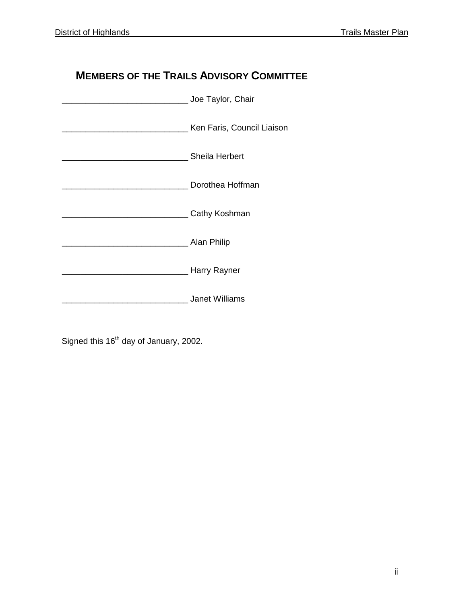## **MEMBERS OF THE TRAILS ADVISORY COMMITTEE**

| Joe Taylor, Chair          |
|----------------------------|
| Ken Faris, Council Liaison |
| <b>Sheila Herbert</b>      |
| Dorothea Hoffman           |
| Cathy Koshman              |
| <sub>-</sub> Alan Philip   |
| Harry Rayner               |
| <b>Janet Williams</b>      |

Signed this  $16<sup>th</sup>$  day of January, 2002.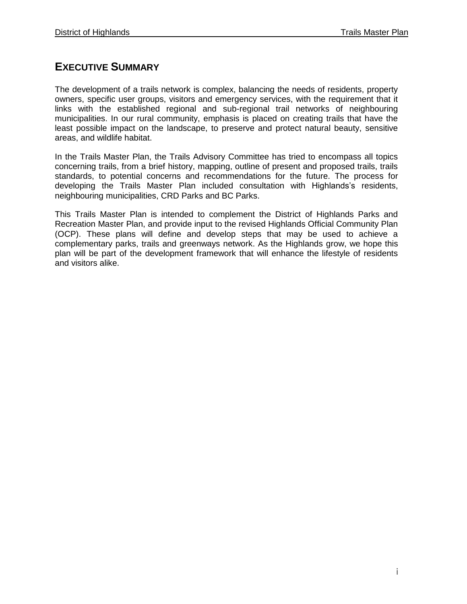## **EXECUTIVE SUMMARY**

The development of a trails network is complex, balancing the needs of residents, property owners, specific user groups, visitors and emergency services, with the requirement that it links with the established regional and sub-regional trail networks of neighbouring municipalities. In our rural community, emphasis is placed on creating trails that have the least possible impact on the landscape, to preserve and protect natural beauty, sensitive areas, and wildlife habitat.

In the Trails Master Plan, the Trails Advisory Committee has tried to encompass all topics concerning trails, from a brief history, mapping, outline of present and proposed trails, trails standards, to potential concerns and recommendations for the future. The process for developing the Trails Master Plan included consultation with Highlands's residents, neighbouring municipalities, CRD Parks and BC Parks.

This Trails Master Plan is intended to complement the District of Highlands Parks and Recreation Master Plan, and provide input to the revised Highlands Official Community Plan (OCP). These plans will define and develop steps that may be used to achieve a complementary parks, trails and greenways network. As the Highlands grow, we hope this plan will be part of the development framework that will enhance the lifestyle of residents and visitors alike.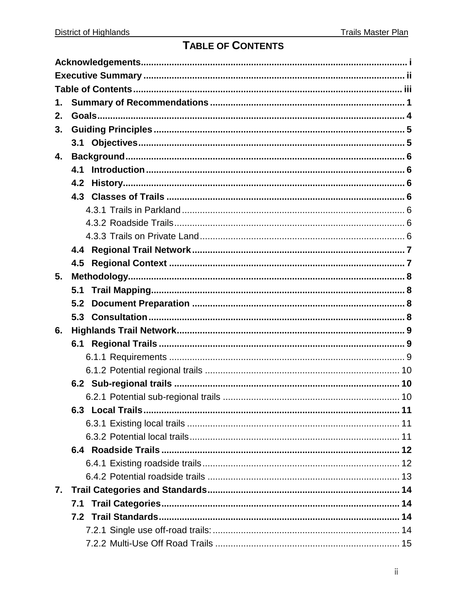## TABLE OF CONTENTS

| 1. |     |  |
|----|-----|--|
| 2. |     |  |
| 3. |     |  |
|    |     |  |
| 4. |     |  |
|    | 4.1 |  |
|    | 4.2 |  |
|    |     |  |
|    |     |  |
|    |     |  |
|    |     |  |
|    |     |  |
|    |     |  |
| 5. |     |  |
|    |     |  |
|    | 5.2 |  |
|    |     |  |
| 6. |     |  |
|    |     |  |
|    |     |  |
|    |     |  |
|    |     |  |
|    |     |  |
|    |     |  |
|    |     |  |
|    |     |  |
|    |     |  |
|    |     |  |
|    |     |  |
| 7. |     |  |
|    |     |  |
|    |     |  |
|    |     |  |
|    |     |  |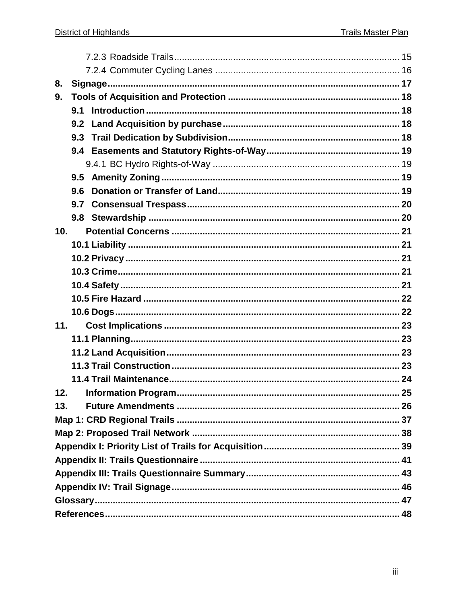| 8.              |     |  |     |  |  |
|-----------------|-----|--|-----|--|--|
| 9.              |     |  |     |  |  |
|                 |     |  |     |  |  |
|                 |     |  |     |  |  |
|                 | 9.3 |  |     |  |  |
|                 |     |  |     |  |  |
|                 |     |  |     |  |  |
|                 |     |  |     |  |  |
|                 | 9.6 |  |     |  |  |
|                 | 9.7 |  |     |  |  |
|                 |     |  |     |  |  |
| 10 <sub>1</sub> |     |  |     |  |  |
|                 |     |  |     |  |  |
|                 |     |  |     |  |  |
|                 |     |  |     |  |  |
|                 |     |  |     |  |  |
|                 |     |  |     |  |  |
|                 |     |  |     |  |  |
| 11.             |     |  |     |  |  |
|                 |     |  |     |  |  |
|                 |     |  |     |  |  |
|                 |     |  |     |  |  |
|                 |     |  |     |  |  |
|                 |     |  | .25 |  |  |
| 13.             |     |  |     |  |  |
|                 |     |  |     |  |  |
|                 |     |  |     |  |  |
|                 |     |  |     |  |  |
|                 |     |  |     |  |  |
|                 |     |  |     |  |  |
|                 |     |  |     |  |  |
|                 |     |  |     |  |  |
|                 |     |  |     |  |  |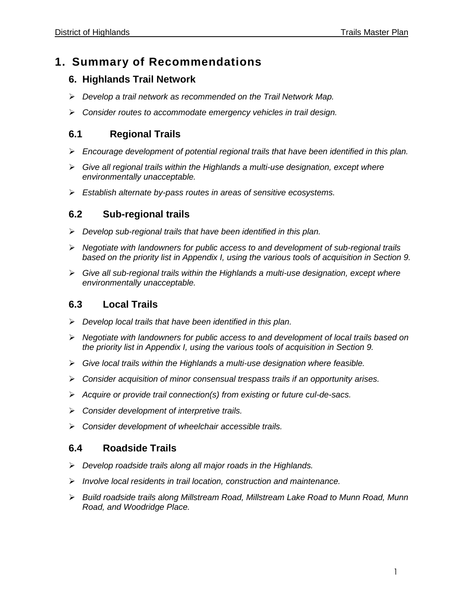## **1. Summary of Recommendations**

## **6. Highlands Trail Network**

- *Develop a trail network as recommended on the Trail Network Map.*
- *Consider routes to accommodate emergency vehicles in trail design.*

## **6.1 Regional Trails**

- *Encourage development of potential regional trails that have been identified in this plan.*
- *Give all regional trails within the Highlands a multi-use designation, except where environmentally unacceptable.*
- *Establish alternate by-pass routes in areas of sensitive ecosystems.*

## **6.2 Sub-regional trails**

- *Develop sub-regional trails that have been identified in this plan.*
- *Negotiate with landowners for public access to and development of sub-regional trails based on the priority list in Appendix I, using the various tools of acquisition in Section 9.*
- *Give all sub-regional trails within the Highlands a multi-use designation, except where environmentally unacceptable.*

## **6.3 Local Trails**

- *Develop local trails that have been identified in this plan.*
- *Negotiate with landowners for public access to and development of local trails based on the priority list in Appendix I, using the various tools of acquisition in Section 9.*
- *Give local trails within the Highlands a multi-use designation where feasible.*
- *Consider acquisition of minor consensual trespass trails if an opportunity arises.*
- *Acquire or provide trail connection(s) from existing or future cul-de-sacs.*
- *Consider development of interpretive trails.*
- *Consider development of wheelchair accessible trails.*

## **6.4 Roadside Trails**

- *Develop roadside trails along all major roads in the Highlands.*
- *Involve local residents in trail location, construction and maintenance.*
- *Build roadside trails along Millstream Road, Millstream Lake Road to Munn Road, Munn Road, and Woodridge Place.*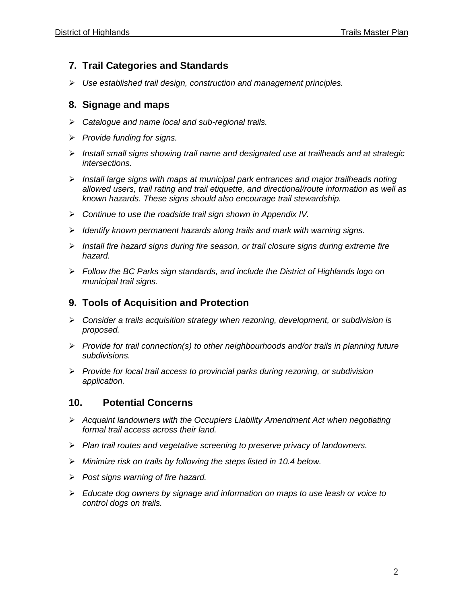## **7. Trail Categories and Standards**

*Use established trail design, construction and management principles.*

### **8. Signage and maps**

- *Catalogue and name local and sub-regional trails.*
- *Provide funding for signs.*
- *Install small signs showing trail name and designated use at trailheads and at strategic intersections.*
- *Install large signs with maps at municipal park entrances and major trailheads noting allowed users, trail rating and trail etiquette, and directional/route information as well as known hazards. These signs should also encourage trail stewardship.*
- *Continue to use the roadside trail sign shown in Appendix IV.*
- *Identify known permanent hazards along trails and mark with warning signs.*
- *Install fire hazard signs during fire season, or trail closure signs during extreme fire hazard.*
- *Follow the BC Parks sign standards, and include the District of Highlands logo on municipal trail signs.*

### **9. Tools of Acquisition and Protection**

- *Consider a trails acquisition strategy when rezoning, development, or subdivision is proposed.*
- *Provide for trail connection(s) to other neighbourhoods and/or trails in planning future subdivisions.*
- *Provide for local trail access to provincial parks during rezoning, or subdivision application.*

### **10. Potential Concerns**

- *Acquaint landowners with the Occupiers Liability Amendment Act when negotiating formal trail access across their land.*
- *Plan trail routes and vegetative screening to preserve privacy of landowners.*
- *Minimize risk on trails by following the steps listed in 10.4 below.*
- *Post signs warning of fire hazard.*
- *Educate dog owners by signage and information on maps to use leash or voice to control dogs on trails.*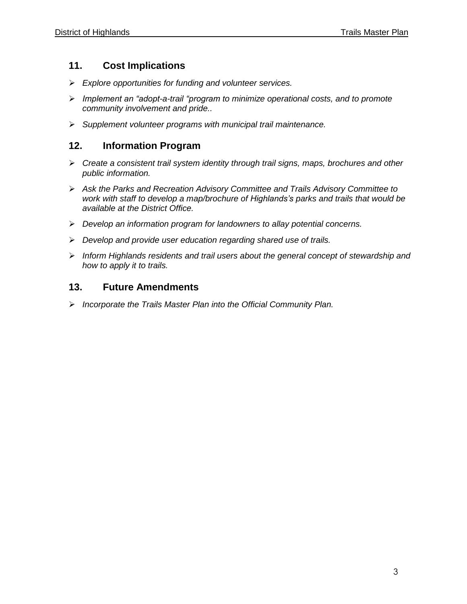## **11. Cost Implications**

- *Explore opportunities for funding and volunteer services.*
- *Implement an "adopt-a-trail "program to minimize operational costs, and to promote community involvement and pride..*
- *Supplement volunteer programs with municipal trail maintenance.*

## **12. Information Program**

- *Create a consistent trail system identity through trail signs, maps, brochures and other public information.*
- *Ask the Parks and Recreation Advisory Committee and Trails Advisory Committee to work with staff to develop a map/brochure of Highlands's parks and trails that would be available at the District Office.*
- *Develop an information program for landowners to allay potential concerns.*
- *Develop and provide user education regarding shared use of trails.*
- *Inform Highlands residents and trail users about the general concept of stewardship and how to apply it to trails.*

## **13. Future Amendments**

*Incorporate the Trails Master Plan into the Official Community Plan.*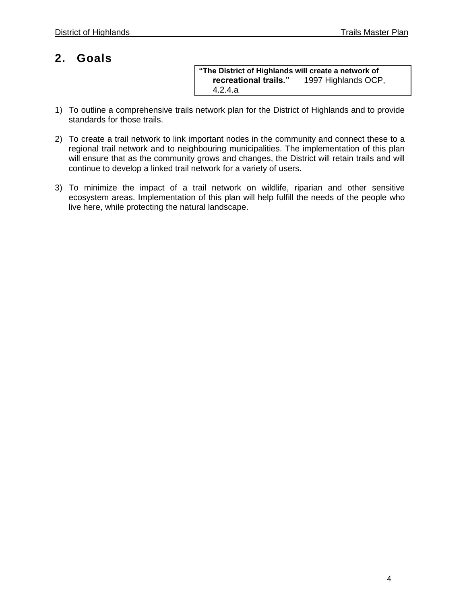## **2. Goals**

**"The District of Highlands will create a network of**  1997 Highlands OCP, 4.2.4.a

- 1) To outline a comprehensive trails network plan for the District of Highlands and to provide standards for those trails.
- 2) To create a trail network to link important nodes in the community and connect these to a regional trail network and to neighbouring municipalities. The implementation of this plan will ensure that as the community grows and changes, the District will retain trails and will continue to develop a linked trail network for a variety of users.
- 3) To minimize the impact of a trail network on wildlife, riparian and other sensitive ecosystem areas. Implementation of this plan will help fulfill the needs of the people who live here, while protecting the natural landscape.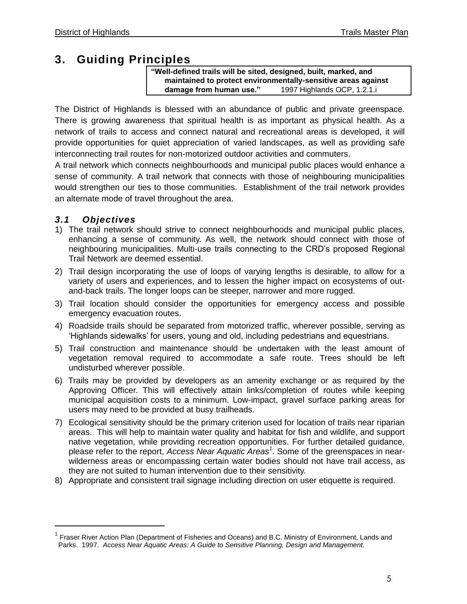## **3. Guiding Principles**

**"Well-defined trails will be sited, designed, built, marked, and maintained to protect environmentally-sensitive areas against damage from human use."** 1997 Highlands OCP, 1.2.1.i

The District of Highlands is blessed with an abundance of public and private greenspace. There is growing awareness that spiritual health is as important as physical health. As a network of trails to access and connect natural and recreational areas is developed, it will provide opportunities for quiet appreciation of varied landscapes, as well as providing safe interconnecting trail routes for non-motorized outdoor activities and commuters.

A trail network which connects neighbourhoods and municipal public places would enhance a sense of community. A trail network that connects with those of neighbouring municipalities would strengthen our ties to those communities. Establishment of the trail network provides an alternate mode of travel throughout the area.

## *3.1 Objectives*

- 1) The trail network should strive to connect neighbourhoods and municipal public places, enhancing a sense of community. As well, the network should connect with those of neighbouring municipalities. Multi-use trails connecting to the CRD's proposed Regional Trail Network are deemed essential.
- 2) Trail design incorporating the use of loops of varying lengths is desirable, to allow for a variety of users and experiences, and to lessen the higher impact on ecosystems of outand-back trails. The longer loops can be steeper, narrower and more rugged.
- 3) Trail location should consider the opportunities for emergency access and possible emergency evacuation routes.
- 4) Roadside trails should be separated from motorized traffic, wherever possible, serving as 'Highlands sidewalks' for users, young and old, including pedestrians and equestrians.
- 5) Trail construction and maintenance should be undertaken with the least amount of vegetation removal required to accommodate a safe route. Trees should be left undisturbed wherever possible.
- 6) Trails may be provided by developers as an amenity exchange or as required by the Approving Officer. This will effectively attain links/completion of routes while keeping municipal acquisition costs to a minimum. Low-impact, gravel surface parking areas for users may need to be provided at busy trailheads.
- 7) Ecological sensitivity should be the primary criterion used for location of trails near riparian areas. This will help to maintain water quality and habitat for fish and wildlife, and support native vegetation, while providing recreation opportunities. For further detailed guidance, please refer to the report, *Access Near Aquatic Areas<sup>1</sup>* . Some of the greenspaces in nearwilderness areas or encompassing certain water bodies should not have trail access, as they are not suited to human intervention due to their sensitivity.
- 8) Appropriate and consistent trail signage including direction on user etiquette is required.

<sup>&</sup>lt;sup>1</sup> Fraser River Action Plan (Department of Fisheries and Oceans) and B.C. Ministry of Environment, Lands and Parks. 1997. *Access Near Aquatic Areas: A Guide to Sensitive Planning, Design and Management.*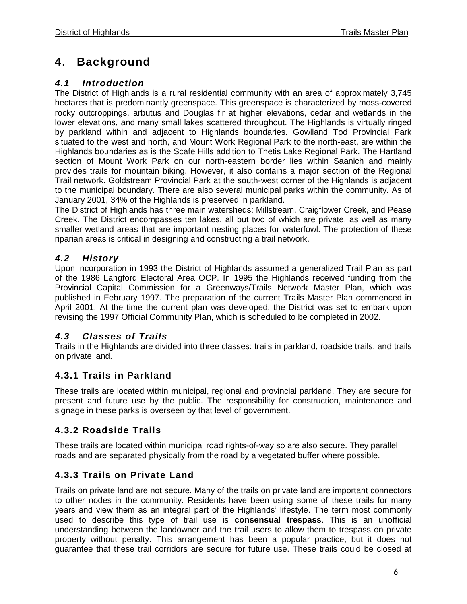## **4. Background**

## *4.1 Introduction*

The District of Highlands is a rural residential community with an area of approximately 3,745 hectares that is predominantly greenspace. This greenspace is characterized by moss-covered rocky outcroppings, arbutus and Douglas fir at higher elevations, cedar and wetlands in the lower elevations, and many small lakes scattered throughout. The Highlands is virtually ringed by parkland within and adjacent to Highlands boundaries. Gowlland Tod Provincial Park situated to the west and north, and Mount Work Regional Park to the north-east, are within the Highlands boundaries as is the Scafe Hills addition to Thetis Lake Regional Park. The Hartland section of Mount Work Park on our north-eastern border lies within Saanich and mainly provides trails for mountain biking. However, it also contains a major section of the Regional Trail network. Goldstream Provincial Park at the south-west corner of the Highlands is adjacent to the municipal boundary. There are also several municipal parks within the community. As of January 2001, 34% of the Highlands is preserved in parkland.

The District of Highlands has three main watersheds: Millstream, Craigflower Creek, and Pease Creek. The District encompasses ten lakes, all but two of which are private, as well as many smaller wetland areas that are important nesting places for waterfowl. The protection of these riparian areas is critical in designing and constructing a trail network.

## *4.2 History*

Upon incorporation in 1993 the District of Highlands assumed a generalized Trail Plan as part of the 1986 Langford Electoral Area OCP. In 1995 the Highlands received funding from the Provincial Capital Commission for a Greenways/Trails Network Master Plan, which was published in February 1997. The preparation of the current Trails Master Plan commenced in April 2001. At the time the current plan was developed, the District was set to embark upon revising the 1997 Official Community Plan, which is scheduled to be completed in 2002.

## *4.3 Classes of Trails*

Trails in the Highlands are divided into three classes: trails in parkland, roadside trails, and trails on private land.

## **4.3.1 Trails in Parkland**

These trails are located within municipal, regional and provincial parkland. They are secure for present and future use by the public. The responsibility for construction, maintenance and signage in these parks is overseen by that level of government.

### **4.3.2 Roadside Trails**

These trails are located within municipal road rights-of-way so are also secure. They parallel roads and are separated physically from the road by a vegetated buffer where possible.

## **4.3.3 Trails on Private Land**

Trails on private land are not secure. Many of the trails on private land are important connectors to other nodes in the community. Residents have been using some of these trails for many years and view them as an integral part of the Highlands' lifestyle. The term most commonly used to describe this type of trail use is **consensual trespass**. This is an unofficial understanding between the landowner and the trail users to allow them to trespass on private property without penalty. This arrangement has been a popular practice, but it does not guarantee that these trail corridors are secure for future use. These trails could be closed at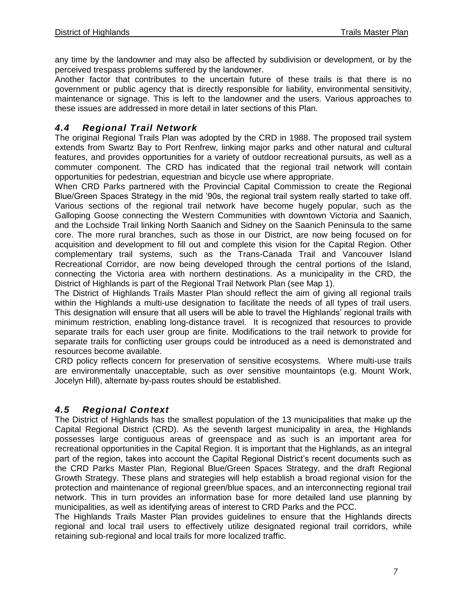any time by the landowner and may also be affected by subdivision or development, or by the perceived trespass problems suffered by the landowner.

Another factor that contributes to the uncertain future of these trails is that there is no government or public agency that is directly responsible for liability, environmental sensitivity, maintenance or signage. This is left to the landowner and the users. Various approaches to these issues are addressed in more detail in later sections of this Plan.

## *4.4 Regional Trail Network*

The original Regional Trails Plan was adopted by the CRD in 1988. The proposed trail system extends from Swartz Bay to Port Renfrew, linking major parks and other natural and cultural features, and provides opportunities for a variety of outdoor recreational pursuits, as well as a commuter component. The CRD has indicated that the regional trail network will contain opportunities for pedestrian, equestrian and bicycle use where appropriate.

When CRD Parks partnered with the Provincial Capital Commission to create the Regional Blue/Green Spaces Strategy in the mid '90s, the regional trail system really started to take off. Various sections of the regional trail network have become hugely popular, such as the Galloping Goose connecting the Western Communities with downtown Victoria and Saanich, and the Lochside Trail linking North Saanich and Sidney on the Saanich Peninsula to the same core. The more rural branches, such as those in our District, are now being focused on for acquisition and development to fill out and complete this vision for the Capital Region. Other complementary trail systems, such as the Trans-Canada Trail and Vancouver Island Recreational Corridor, are now being developed through the central portions of the Island, connecting the Victoria area with northern destinations. As a municipality in the CRD, the District of Highlands is part of the Regional Trail Network Plan (see Map 1).

The District of Highlands Trails Master Plan should reflect the aim of giving all regional trails within the Highlands a multi-use designation to facilitate the needs of all types of trail users. This designation will ensure that all users will be able to travel the Highlands' regional trails with minimum restriction, enabling long-distance travel. It is recognized that resources to provide separate trails for each user group are finite. Modifications to the trail network to provide for separate trails for conflicting user groups could be introduced as a need is demonstrated and resources become available.

CRD policy reflects concern for preservation of sensitive ecosystems. Where multi-use trails are environmentally unacceptable, such as over sensitive mountaintops (e.g. Mount Work, Jocelyn Hill), alternate by-pass routes should be established.

### *4.5 Regional Context*

The District of Highlands has the smallest population of the 13 municipalities that make up the Capital Regional District (CRD). As the seventh largest municipality in area, the Highlands possesses large contiguous areas of greenspace and as such is an important area for recreational opportunities in the Capital Region. It is important that the Highlands, as an integral part of the region, takes into account the Capital Regional District's recent documents such as the CRD Parks Master Plan, Regional Blue/Green Spaces Strategy, and the draft Regional Growth Strategy. These plans and strategies will help establish a broad regional vision for the protection and maintenance of regional green/blue spaces, and an interconnecting regional trail network. This in turn provides an information base for more detailed land use planning by municipalities, as well as identifying areas of interest to CRD Parks and the PCC.

The Highlands Trails Master Plan provides guidelines to ensure that the Highlands directs regional and local trail users to effectively utilize designated regional trail corridors, while retaining sub-regional and local trails for more localized traffic.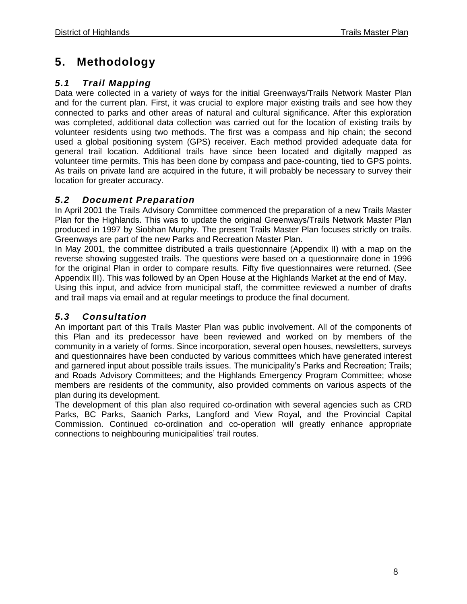## **5. Methodology**

## *5.1 Trail Mapping*

Data were collected in a variety of ways for the initial Greenways/Trails Network Master Plan and for the current plan. First, it was crucial to explore major existing trails and see how they connected to parks and other areas of natural and cultural significance. After this exploration was completed, additional data collection was carried out for the location of existing trails by volunteer residents using two methods. The first was a compass and hip chain; the second used a global positioning system (GPS) receiver. Each method provided adequate data for general trail location. Additional trails have since been located and digitally mapped as volunteer time permits. This has been done by compass and pace-counting, tied to GPS points. As trails on private land are acquired in the future, it will probably be necessary to survey their location for greater accuracy.

## *5.2 Document Preparation*

In April 2001 the Trails Advisory Committee commenced the preparation of a new Trails Master Plan for the Highlands. This was to update the original Greenways/Trails Network Master Plan produced in 1997 by Siobhan Murphy. The present Trails Master Plan focuses strictly on trails. Greenways are part of the new Parks and Recreation Master Plan.

In May 2001, the committee distributed a trails questionnaire (Appendix II) with a map on the reverse showing suggested trails. The questions were based on a questionnaire done in 1996 for the original Plan in order to compare results. Fifty five questionnaires were returned. (See Appendix III). This was followed by an Open House at the Highlands Market at the end of May.

Using this input, and advice from municipal staff, the committee reviewed a number of drafts and trail maps via email and at regular meetings to produce the final document.

## *5.3 Consultation*

An important part of this Trails Master Plan was public involvement. All of the components of this Plan and its predecessor have been reviewed and worked on by members of the community in a variety of forms. Since incorporation, several open houses, newsletters, surveys and questionnaires have been conducted by various committees which have generated interest and garnered input about possible trails issues. The municipality's Parks and Recreation; Trails; and Roads Advisory Committees; and the Highlands Emergency Program Committee; whose members are residents of the community, also provided comments on various aspects of the plan during its development.

The development of this plan also required co-ordination with several agencies such as CRD Parks, BC Parks, Saanich Parks, Langford and View Royal, and the Provincial Capital Commission. Continued co-ordination and co-operation will greatly enhance appropriate connections to neighbouring municipalities' trail routes.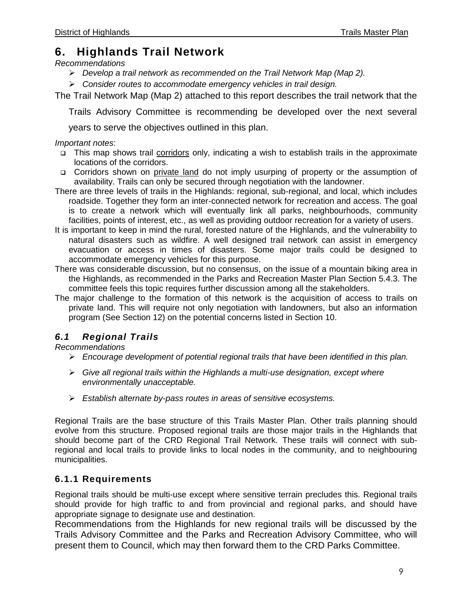## **6. Highlands Trail Network**

#### *Recommendations*

- *Develop a trail network as recommended on the Trail Network Map (Map 2).*
- *Consider routes to accommodate emergency vehicles in trail design.*

The Trail Network Map (Map 2) attached to this report describes the trail network that the

Trails Advisory Committee is recommending be developed over the next several

years to serve the objectives outlined in this plan.

#### *Important notes*:

- This map shows trail corridors only, indicating a wish to establish trails in the approximate locations of the corridors.
- □ Corridors shown on private land do not imply usurping of property or the assumption of availability. Trails can only be secured through negotiation with the landowner.
- There are three levels of trails in the Highlands: regional, sub-regional, and local, which includes roadside. Together they form an inter-connected network for recreation and access. The goal is to create a network which will eventually link all parks, neighbourhoods, community facilities, points of interest, etc., as well as providing outdoor recreation for a variety of users.
- It is important to keep in mind the rural, forested nature of the Highlands, and the vulnerability to natural disasters such as wildfire. A well designed trail network can assist in emergency evacuation or access in times of disasters. Some major trails could be designed to accommodate emergency vehicles for this purpose.
- There was considerable discussion, but no consensus, on the issue of a mountain biking area in the Highlands, as recommended in the Parks and Recreation Master Plan Section 5.4.3. The committee feels this topic requires further discussion among all the stakeholders.
- The major challenge to the formation of this network is the acquisition of access to trails on private land. This will require not only negotiation with landowners, but also an information program (See Section 12) on the potential concerns listed in Section 10.

## *6.1 Regional Trails*

#### *Recommendations*

- *Encourage development of potential regional trails that have been identified in this plan.*
- *Give all regional trails within the Highlands a multi-use designation, except where environmentally unacceptable.*
- *Establish alternate by-pass routes in areas of sensitive ecosystems.*

Regional Trails are the base structure of this Trails Master Plan. Other trails planning should evolve from this structure. Proposed regional trails are those major trails in the Highlands that should become part of the CRD Regional Trail Network. These trails will connect with subregional and local trails to provide links to local nodes in the community, and to neighbouring municipalities.

### **6.1.1 Requirements**

Regional trails should be multi-use except where sensitive terrain precludes this. Regional trails should provide for high traffic to and from provincial and regional parks, and should have appropriate signage to designate use and destination.

Recommendations from the Highlands for new regional trails will be discussed by the Trails Advisory Committee and the Parks and Recreation Advisory Committee, who will present them to Council, which may then forward them to the CRD Parks Committee.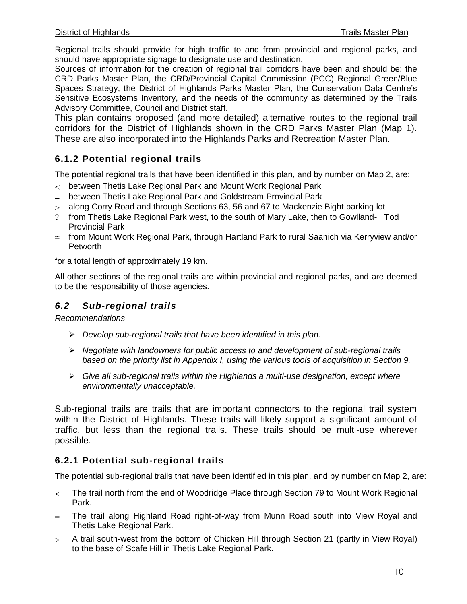Regional trails should provide for high traffic to and from provincial and regional parks, and should have appropriate signage to designate use and destination.

Sources of information for the creation of regional trail corridors have been and should be: the CRD Parks Master Plan, the CRD/Provincial Capital Commission (PCC) Regional Green/Blue Spaces Strategy, the District of Highlands Parks Master Plan, the Conservation Data Centre's Sensitive Ecosystems Inventory, and the needs of the community as determined by the Trails Advisory Committee, Council and District staff.

This plan contains proposed (and more detailed) alternative routes to the regional trail corridors for the District of Highlands shown in the CRD Parks Master Plan (Map 1). These are also incorporated into the Highlands Parks and Recreation Master Plan.

## **6.1.2 Potential regional trails**

The potential regional trails that have been identified in this plan, and by number on Map 2, are:

- between Thetis Lake Regional Park and Mount Work Regional Park
- between Thetis Lake Regional Park and Goldstream Provincial Park
- along Corry Road and through Sections 63, 56 and 67 to Mackenzie Bight parking lot
- from Thetis Lake Regional Park west, to the south of Mary Lake, then to Gowlland- Tod Provincial Park
- $\epsilon$  from Mount Work Regional Park, through Hartland Park to rural Saanich via Kerryview and/or **Petworth**

for a total length of approximately 19 km.

All other sections of the regional trails are within provincial and regional parks, and are deemed to be the responsibility of those agencies.

## *6.2 Sub-regional trails*

*Recommendations*

- *Develop sub-regional trails that have been identified in this plan.*
- *Negotiate with landowners for public access to and development of sub-regional trails based on the priority list in Appendix I, using the various tools of acquisition in Section 9.*
- *Give all sub-regional trails within the Highlands a multi-use designation, except where environmentally unacceptable.*

Sub-regional trails are trails that are important connectors to the regional trail system within the District of Highlands. These trails will likely support a significant amount of traffic, but less than the regional trails. These trails should be multi-use wherever possible.

### **6.2.1 Potential sub-regional trails**

The potential sub-regional trails that have been identified in this plan, and by number on Map 2, are:

- The trail north from the end of Woodridge Place through Section 79 to Mount Work Regional  $\lt$ Park.
- The trail along Highland Road right-of-way from Munn Road south into View Royal and  $=$ Thetis Lake Regional Park.
- A trail south-west from the bottom of Chicken Hill through Section 21 (partly in View Royal)  $\geq$ to the base of Scafe Hill in Thetis Lake Regional Park.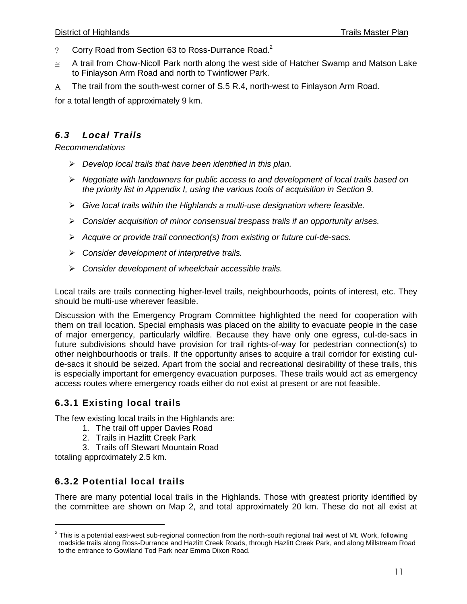- Corry Road from Section 63 to Ross-Durrance Road.<sup>2</sup>  $\overline{?}$
- A trail from Chow-Nicoll Park north along the west side of Hatcher Swamp and Matson Lake  $\cong$ to Finlayson Arm Road and north to Twinflower Park.
- The trail from the south-west corner of S.5 R.4, north-west to Finlayson Arm Road.  $\mathsf{A}$

for a total length of approximately 9 km.

### *6.3 Local Trails*

*Recommendations*

- *Develop local trails that have been identified in this plan.*
- *Negotiate with landowners for public access to and development of local trails based on the priority list in Appendix I, using the various tools of acquisition in Section 9.*
- *Give local trails within the Highlands a multi-use designation where feasible.*
- *Consider acquisition of minor consensual trespass trails if an opportunity arises.*
- *Acquire or provide trail connection(s) from existing or future cul-de-sacs.*
- *Consider development of interpretive trails.*
- *Consider development of wheelchair accessible trails.*

Local trails are trails connecting higher-level trails, neighbourhoods, points of interest, etc. They should be multi-use wherever feasible.

Discussion with the Emergency Program Committee highlighted the need for cooperation with them on trail location. Special emphasis was placed on the ability to evacuate people in the case of major emergency, particularly wildfire. Because they have only one egress, cul-de-sacs in future subdivisions should have provision for trail rights-of-way for pedestrian connection(s) to other neighbourhoods or trails. If the opportunity arises to acquire a trail corridor for existing culde-sacs it should be seized. Apart from the social and recreational desirability of these trails, this is especially important for emergency evacuation purposes. These trails would act as emergency access routes where emergency roads either do not exist at present or are not feasible.

#### **6.3.1 Existing local trails**

The few existing local trails in the Highlands are:

- 1. The trail off upper Davies Road
- 2. Trails in Hazlitt Creek Park
- 3. Trails off Stewart Mountain Road

totaling approximately 2.5 km.

 $\overline{a}$ 

### **6.3.2 Potential local trails**

There are many potential local trails in the Highlands. Those with greatest priority identified by the committee are shown on Map 2, and total approximately 20 km. These do not all exist at

 $^2$  This is a potential east-west sub-regional connection from the north-south regional trail west of Mt. Work, following roadside trails along Ross-Durrance and Hazlitt Creek Roads, through Hazlitt Creek Park, and along Millstream Road to the entrance to Gowlland Tod Park near Emma Dixon Road.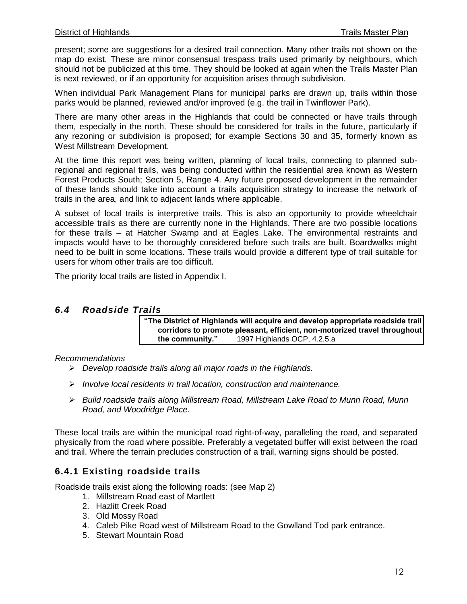present; some are suggestions for a desired trail connection. Many other trails not shown on the map do exist. These are minor consensual trespass trails used primarily by neighbours, which should not be publicized at this time. They should be looked at again when the Trails Master Plan is next reviewed, or if an opportunity for acquisition arises through subdivision.

When individual Park Management Plans for municipal parks are drawn up, trails within those parks would be planned, reviewed and/or improved (e.g. the trail in Twinflower Park).

There are many other areas in the Highlands that could be connected or have trails through them, especially in the north. These should be considered for trails in the future, particularly if any rezoning or subdivision is proposed; for example Sections 30 and 35, formerly known as West Millstream Development.

At the time this report was being written, planning of local trails, connecting to planned subregional and regional trails, was being conducted within the residential area known as Western Forest Products South; Section 5, Range 4. Any future proposed development in the remainder of these lands should take into account a trails acquisition strategy to increase the network of trails in the area, and link to adjacent lands where applicable.

A subset of local trails is interpretive trails. This is also an opportunity to provide wheelchair accessible trails as there are currently none in the Highlands. There are two possible locations for these trails – at Hatcher Swamp and at Eagles Lake. The environmental restraints and impacts would have to be thoroughly considered before such trails are built. Boardwalks might need to be built in some locations. These trails would provide a different type of trail suitable for users for whom other trails are too difficult.

The priority local trails are listed in Appendix I.

#### *6.4 Roadside Trails*

**"The District of Highlands will acquire and develop appropriate roadside trail corridors to promote pleasant, efficient, non-motorized travel throughout the community."** 1997 Highlands OCP, 4.2.5.a

#### *Recommendations*

- *Develop roadside trails along all major roads in the Highlands.*
- *Involve local residents in trail location, construction and maintenance.*
- *Build roadside trails along Millstream Road, Millstream Lake Road to Munn Road, Munn Road, and Woodridge Place.*

These local trails are within the municipal road right-of-way, paralleling the road, and separated physically from the road where possible. Preferably a vegetated buffer will exist between the road and trail. Where the terrain precludes construction of a trail, warning signs should be posted.

#### **6.4.1 Existing roadside trails**

Roadside trails exist along the following roads: (see Map 2)

- 1. Millstream Road east of Martlett
- 2. Hazlitt Creek Road
- 3. Old Mossy Road
- 4. Caleb Pike Road west of Millstream Road to the Gowlland Tod park entrance.
- 5. Stewart Mountain Road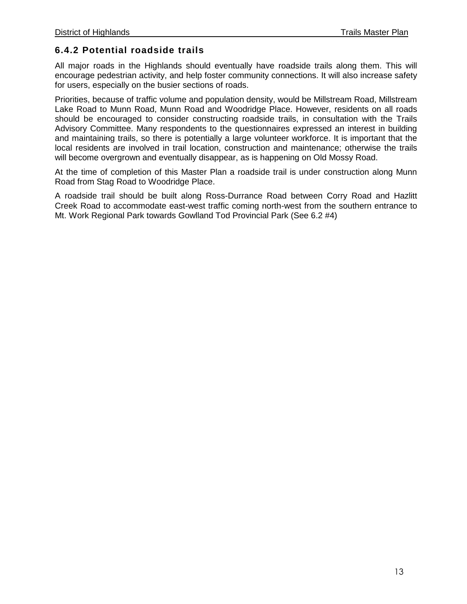## **6.4.2 Potential roadside trails**

All major roads in the Highlands should eventually have roadside trails along them. This will encourage pedestrian activity, and help foster community connections. It will also increase safety for users, especially on the busier sections of roads.

Priorities, because of traffic volume and population density, would be Millstream Road, Millstream Lake Road to Munn Road, Munn Road and Woodridge Place. However, residents on all roads should be encouraged to consider constructing roadside trails, in consultation with the Trails Advisory Committee. Many respondents to the questionnaires expressed an interest in building and maintaining trails, so there is potentially a large volunteer workforce. It is important that the local residents are involved in trail location, construction and maintenance; otherwise the trails will become overgrown and eventually disappear, as is happening on Old Mossy Road.

At the time of completion of this Master Plan a roadside trail is under construction along Munn Road from Stag Road to Woodridge Place.

A roadside trail should be built along Ross-Durrance Road between Corry Road and Hazlitt Creek Road to accommodate east-west traffic coming north-west from the southern entrance to Mt. Work Regional Park towards Gowlland Tod Provincial Park (See 6.2 #4)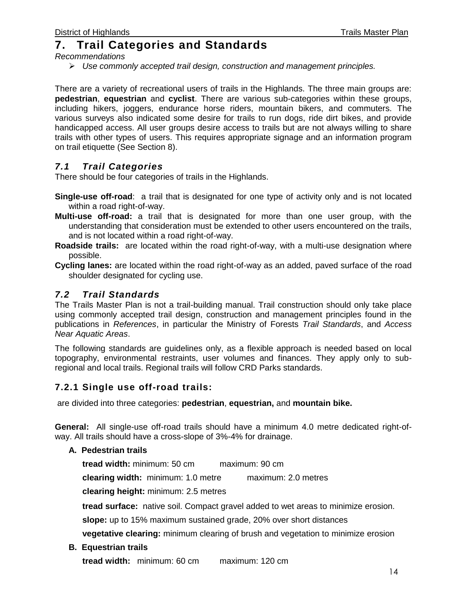## **7. Trail Categories and Standards**

*Recommendations*

*Use commonly accepted trail design, construction and management principles.*

There are a variety of recreational users of trails in the Highlands. The three main groups are: **pedestrian**, **equestrian** and **cyclist**. There are various sub-categories within these groups, including hikers, joggers, endurance horse riders, mountain bikers, and commuters. The various surveys also indicated some desire for trails to run dogs, ride dirt bikes, and provide handicapped access. All user groups desire access to trails but are not always willing to share trails with other types of users. This requires appropriate signage and an information program on trail etiquette (See Section 8).

### *7.1 Trail Categories*

There should be four categories of trails in the Highlands.

- **Single-use off-road**: a trail that is designated for one type of activity only and is not located within a road right-of-way.
- **Multi-use off-road:** a trail that is designated for more than one user group, with the understanding that consideration must be extended to other users encountered on the trails, and is not located within a road right-of-way.
- **Roadside trails:** are located within the road right-of-way, with a multi-use designation where possible.
- **Cycling lanes:** are located within the road right-of-way as an added, paved surface of the road shoulder designated for cycling use.

## *7.2 Trail Standards*

The Trails Master Plan is not a trail-building manual. Trail construction should only take place using commonly accepted trail design, construction and management principles found in the publications in *References*, in particular the Ministry of Forests *Trail Standards*, and *Access Near Aquatic Areas*.

The following standards are guidelines only, as a flexible approach is needed based on local topography, environmental restraints, user volumes and finances. They apply only to subregional and local trails. Regional trails will follow CRD Parks standards.

### **7.2.1 Single use off-road trails:**

are divided into three categories: **pedestrian**, **equestrian,** and **mountain bike.**

**General:** All single-use off-road trails should have a minimum 4.0 metre dedicated right-ofway. All trails should have a cross-slope of 3%-4% for drainage.

#### **A. Pedestrian trails**

**tread width:** minimum: 50 cm maximum: 90 cm

**clearing width:** minimum: 1.0 metre maximum: 2.0 metres

**clearing height:** minimum: 2.5 metres

**tread surface:** native soil. Compact gravel added to wet areas to minimize erosion.

**slope:** up to 15% maximum sustained grade, 20% over short distances

**vegetative clearing:** minimum clearing of brush and vegetation to minimize erosion

#### **B. Equestrian trails**

**tread width:** minimum: 60 cm maximum: 120 cm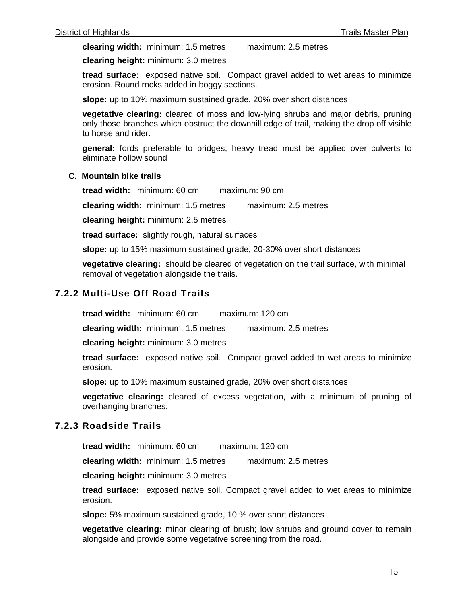**clearing width:** minimum: 1.5 metres maximum: 2.5 metres

**clearing height:** minimum: 3.0 metres

**tread surface:** exposed native soil. Compact gravel added to wet areas to minimize erosion. Round rocks added in boggy sections.

**slope:** up to 10% maximum sustained grade, 20% over short distances

**vegetative clearing:** cleared of moss and low-lying shrubs and major debris, pruning only those branches which obstruct the downhill edge of trail, making the drop off visible to horse and rider.

**general:** fords preferable to bridges; heavy tread must be applied over culverts to eliminate hollow sound

#### **C. Mountain bike trails**

**tread width:** minimum: 60 cm maximum: 90 cm

**clearing width:** minimum: 1.5 metres maximum: 2.5 metres

**clearing height:** minimum: 2.5 metres

**tread surface:** slightly rough, natural surfaces

**slope:** up to 15% maximum sustained grade, 20-30% over short distances

**vegetative clearing:** should be cleared of vegetation on the trail surface, with minimal removal of vegetation alongside the trails.

#### **7.2.2 Multi-Use Off Road Trails**

**tread width:** minimum: 60 cm maximum: 120 cm

**clearing width:** minimum: 1.5 metres maximum: 2.5 metres

**clearing height:** minimum: 3.0 metres

**tread surface:** exposed native soil. Compact gravel added to wet areas to minimize erosion.

**slope:** up to 10% maximum sustained grade, 20% over short distances

**vegetative clearing:** cleared of excess vegetation, with a minimum of pruning of overhanging branches.

#### **7.2.3 Roadside Trails**

**tread width:** minimum: 60 cm maximum: 120 cm

**clearing width:** minimum: 1.5 metres maximum: 2.5 metres

**clearing height:** minimum: 3.0 metres

**tread surface:** exposed native soil. Compact gravel added to wet areas to minimize erosion.

**slope:** 5% maximum sustained grade, 10 % over short distances

**vegetative clearing:** minor clearing of brush; low shrubs and ground cover to remain alongside and provide some vegetative screening from the road.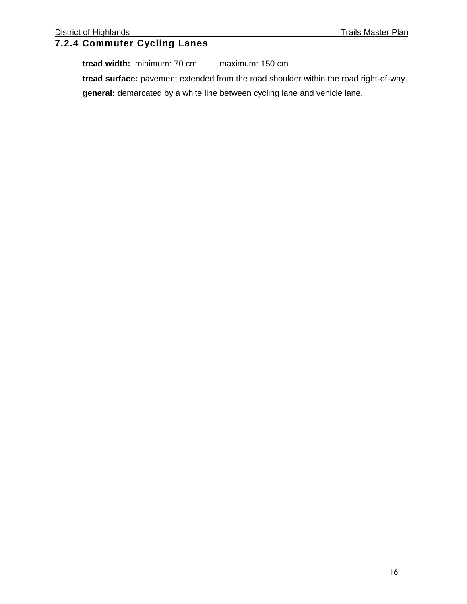## **7.2.4 Commuter Cycling Lanes**

**tread width:** minimum: 70 cm maximum: 150 cm **tread surface:** pavement extended from the road shoulder within the road right-of-way. **general:** demarcated by a white line between cycling lane and vehicle lane.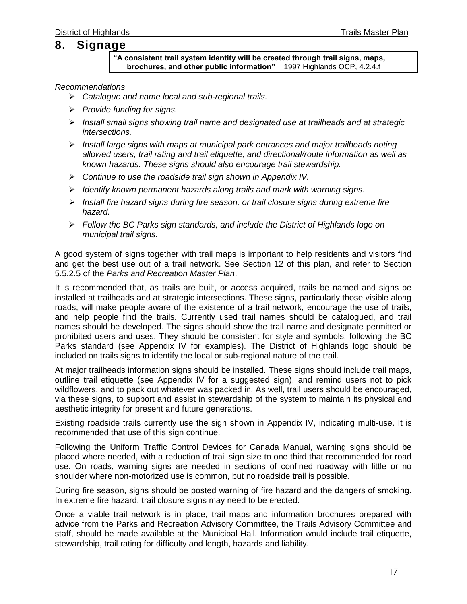## **8. Signage**

**"A consistent trail system identity will be created through trail signs, maps, brochures, and other public information"** 1997 Highlands OCP, 4.2.4.f

#### *Recommendations*

- *Catalogue and name local and sub-regional trails.*
- *Provide funding for signs.*
- *Install small signs showing trail name and designated use at trailheads and at strategic intersections.*
- *Install large signs with maps at municipal park entrances and major trailheads noting allowed users, trail rating and trail etiquette, and directional/route information as well as known hazards. These signs should also encourage trail stewardship.*
- *Continue to use the roadside trail sign shown in Appendix IV.*
- *Identify known permanent hazards along trails and mark with warning signs.*
- *Install fire hazard signs during fire season, or trail closure signs during extreme fire hazard.*
- *Follow the BC Parks sign standards, and include the District of Highlands logo on municipal trail signs.*

A good system of signs together with trail maps is important to help residents and visitors find and get the best use out of a trail network. See Section 12 of this plan, and refer to Section 5.5.2.5 of the *Parks and Recreation Master Plan*.

It is recommended that, as trails are built, or access acquired, trails be named and signs be installed at trailheads and at strategic intersections. These signs, particularly those visible along roads, will make people aware of the existence of a trail network, encourage the use of trails, and help people find the trails. Currently used trail names should be catalogued, and trail names should be developed. The signs should show the trail name and designate permitted or prohibited users and uses. They should be consistent for style and symbols, following the BC Parks standard (see Appendix IV for examples). The District of Highlands logo should be included on trails signs to identify the local or sub-regional nature of the trail.

At major trailheads information signs should be installed. These signs should include trail maps, outline trail etiquette (see Appendix IV for a suggested sign), and remind users not to pick wildflowers, and to pack out whatever was packed in. As well, trail users should be encouraged, via these signs, to support and assist in stewardship of the system to maintain its physical and aesthetic integrity for present and future generations.

Existing roadside trails currently use the sign shown in Appendix IV, indicating multi-use. It is recommended that use of this sign continue.

Following the Uniform Traffic Control Devices for Canada Manual, warning signs should be placed where needed, with a reduction of trail sign size to one third that recommended for road use. On roads, warning signs are needed in sections of confined roadway with little or no shoulder where non-motorized use is common, but no roadside trail is possible.

During fire season, signs should be posted warning of fire hazard and the dangers of smoking. In extreme fire hazard, trail closure signs may need to be erected.

Once a viable trail network is in place, trail maps and information brochures prepared with advice from the Parks and Recreation Advisory Committee, the Trails Advisory Committee and staff, should be made available at the Municipal Hall. Information would include trail etiquette. stewardship, trail rating for difficulty and length, hazards and liability.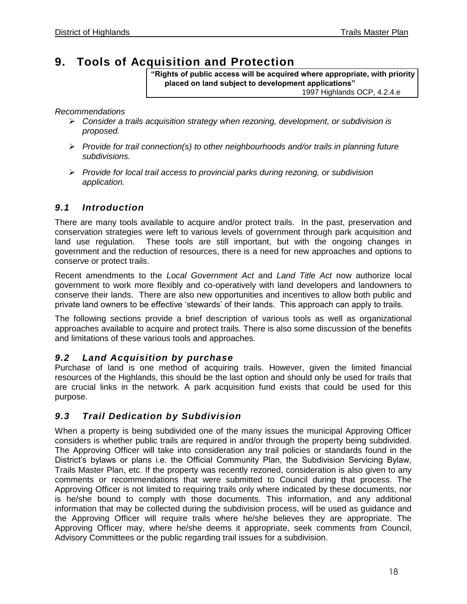## **9. Tools of Acquisition and Protection**

**"Rights of public access will be acquired where appropriate, with priority placed on land subject to development applications"** 1997 Highlands OCP, 4.2.4.e

*Recommendations*

- *Consider a trails acquisition strategy when rezoning, development, or subdivision is proposed.*
- *Provide for trail connection(s) to other neighbourhoods and/or trails in planning future subdivisions.*
- *Provide for local trail access to provincial parks during rezoning, or subdivision application.*

## *9.1 Introduction*

There are many tools available to acquire and/or protect trails. In the past, preservation and conservation strategies were left to various levels of government through park acquisition and land use regulation. These tools are still important, but with the ongoing changes in government and the reduction of resources, there is a need for new approaches and options to conserve or protect trails.

Recent amendments to the *Local Government Act* and *Land Title Act* now authorize local government to work more flexibly and co-operatively with land developers and landowners to conserve their lands. There are also new opportunities and incentives to allow both public and private land owners to be effective 'stewards' of their lands. This approach can apply to trails.

The following sections provide a brief description of various tools as well as organizational approaches available to acquire and protect trails. There is also some discussion of the benefits and limitations of these various tools and approaches.

### *9.2 Land Acquisition by purchase*

Purchase of land is one method of acquiring trails. However, given the limited financial resources of the Highlands, this should be the last option and should only be used for trails that are crucial links in the network. A park acquisition fund exists that could be used for this purpose.

### *9.3 Trail Dedication by Subdivision*

When a property is being subdivided one of the many issues the municipal Approving Officer considers is whether public trails are required in and/or through the property being subdivided. The Approving Officer will take into consideration any trail policies or standards found in the District's bylaws or plans i.e. the Official Community Plan, the Subdivision Servicing Bylaw, Trails Master Plan, etc. If the property was recently rezoned, consideration is also given to any comments or recommendations that were submitted to Council during that process. The Approving Officer is not limited to requiring trails only where indicated by these documents, nor is he/she bound to comply with those documents. This information, and any additional information that may be collected during the subdivision process, will be used as guidance and the Approving Officer will require trails where he/she believes they are appropriate. The Approving Officer may, where he/she deems it appropriate, seek comments from Council, Advisory Committees or the public regarding trail issues for a subdivision.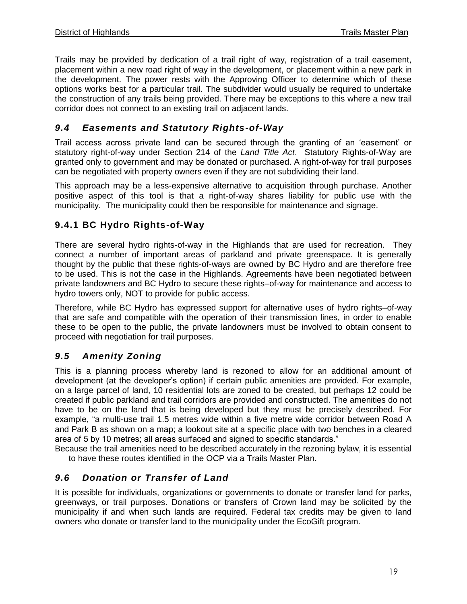Trails may be provided by dedication of a trail right of way, registration of a trail easement, placement within a new road right of way in the development, or placement within a new park in the development. The power rests with the Approving Officer to determine which of these options works best for a particular trail. The subdivider would usually be required to undertake the construction of any trails being provided. There may be exceptions to this where a new trail corridor does not connect to an existing trail on adjacent lands.

## *9.4 Easements and Statutory Rights-of-Way*

Trail access across private land can be secured through the granting of an 'easement' or statutory right-of-way under Section 214 of the *Land Title Act*. Statutory Rights-of-Way are granted only to government and may be donated or purchased. A right-of-way for trail purposes can be negotiated with property owners even if they are not subdividing their land.

This approach may be a less-expensive alternative to acquisition through purchase. Another positive aspect of this tool is that a right-of-way shares liability for public use with the municipality. The municipality could then be responsible for maintenance and signage.

### **9.4.1 BC Hydro Rights-of-Way**

There are several hydro rights-of-way in the Highlands that are used for recreation. They connect a number of important areas of parkland and private greenspace. It is generally thought by the public that these rights-of-ways are owned by BC Hydro and are therefore free to be used. This is not the case in the Highlands. Agreements have been negotiated between private landowners and BC Hydro to secure these rights–of-way for maintenance and access to hydro towers only, NOT to provide for public access.

Therefore, while BC Hydro has expressed support for alternative uses of hydro rights–of-way that are safe and compatible with the operation of their transmission lines, in order to enable these to be open to the public, the private landowners must be involved to obtain consent to proceed with negotiation for trail purposes.

## *9.5 Amenity Zoning*

This is a planning process whereby land is rezoned to allow for an additional amount of development (at the developer's option) if certain public amenities are provided. For example, on a large parcel of land, 10 residential lots are zoned to be created, but perhaps 12 could be created if public parkland and trail corridors are provided and constructed. The amenities do not have to be on the land that is being developed but they must be precisely described. For example, "a multi-use trail 1.5 metres wide within a five metre wide corridor between Road A and Park B as shown on a map; a lookout site at a specific place with two benches in a cleared area of 5 by 10 metres; all areas surfaced and signed to specific standards."

Because the trail amenities need to be described accurately in the rezoning bylaw, it is essential to have these routes identified in the OCP via a Trails Master Plan.

## *9.6 Donation or Transfer of Land*

It is possible for individuals, organizations or governments to donate or transfer land for parks, greenways, or trail purposes. Donations or transfers of Crown land may be solicited by the municipality if and when such lands are required. Federal tax credits may be given to land owners who donate or transfer land to the municipality under the EcoGift program.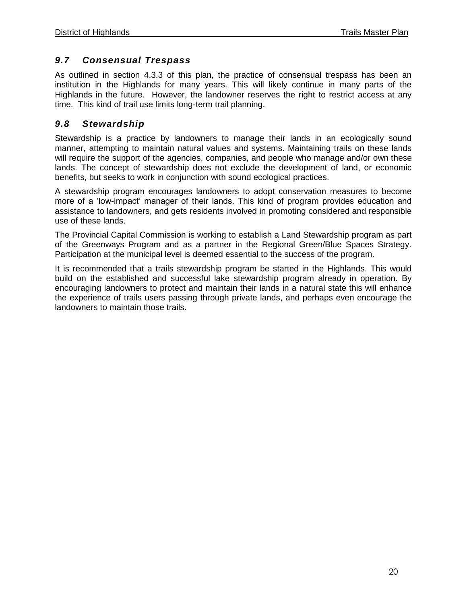#### *9.7 Consensual Trespass*

As outlined in section 4.3.3 of this plan, the practice of consensual trespass has been an institution in the Highlands for many years. This will likely continue in many parts of the Highlands in the future. However, the landowner reserves the right to restrict access at any time. This kind of trail use limits long-term trail planning.

#### *9.8 Stewardship*

Stewardship is a practice by landowners to manage their lands in an ecologically sound manner, attempting to maintain natural values and systems. Maintaining trails on these lands will require the support of the agencies, companies, and people who manage and/or own these lands. The concept of stewardship does not exclude the development of land, or economic benefits, but seeks to work in conjunction with sound ecological practices.

A stewardship program encourages landowners to adopt conservation measures to become more of a 'low-impact' manager of their lands. This kind of program provides education and assistance to landowners, and gets residents involved in promoting considered and responsible use of these lands.

The Provincial Capital Commission is working to establish a Land Stewardship program as part of the Greenways Program and as a partner in the Regional Green/Blue Spaces Strategy. Participation at the municipal level is deemed essential to the success of the program.

It is recommended that a trails stewardship program be started in the Highlands. This would build on the established and successful lake stewardship program already in operation. By encouraging landowners to protect and maintain their lands in a natural state this will enhance the experience of trails users passing through private lands, and perhaps even encourage the landowners to maintain those trails.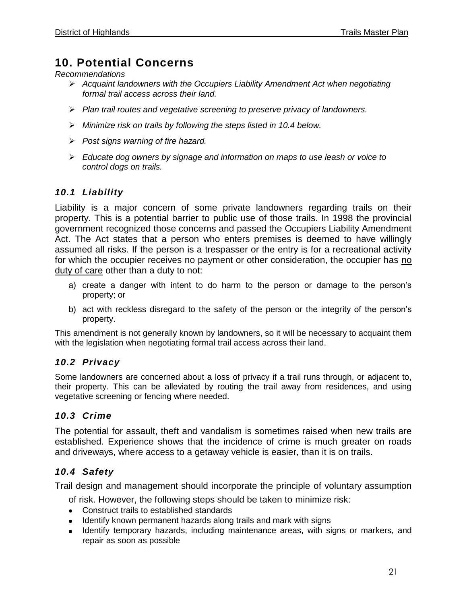## **10. Potential Concerns**

*Recommendations*

- *Acquaint landowners with the Occupiers Liability Amendment Act when negotiating formal trail access across their land.*
- *Plan trail routes and vegetative screening to preserve privacy of landowners.*
- *Minimize risk on trails by following the steps listed in 10.4 below.*
- *Post signs warning of fire hazard.*
- *Educate dog owners by signage and information on maps to use leash or voice to control dogs on trails.*

#### *10.1 Liability*

Liability is a major concern of some private landowners regarding trails on their property. This is a potential barrier to public use of those trails. In 1998 the provincial government recognized those concerns and passed the Occupiers Liability Amendment Act. The Act states that a person who enters premises is deemed to have willingly assumed all risks. If the person is a trespasser or the entry is for a recreational activity for which the occupier receives no payment or other consideration, the occupier has no duty of care other than a duty to not:

- a) create a danger with intent to do harm to the person or damage to the person's property; or
- b) act with reckless disregard to the safety of the person or the integrity of the person's property.

This amendment is not generally known by landowners, so it will be necessary to acquaint them with the legislation when negotiating formal trail access across their land.

#### *10.2 Privacy*

Some landowners are concerned about a loss of privacy if a trail runs through, or adjacent to, their property. This can be alleviated by routing the trail away from residences, and using vegetative screening or fencing where needed.

#### *10.3 Crime*

The potential for assault, theft and vandalism is sometimes raised when new trails are established. Experience shows that the incidence of crime is much greater on roads and driveways, where access to a getaway vehicle is easier, than it is on trails.

#### *10.4 Safety*

Trail design and management should incorporate the principle of voluntary assumption

of risk. However, the following steps should be taken to minimize risk:

- Construct trails to established standards
- Identify known permanent hazards along trails and mark with signs
- Identify temporary hazards, including maintenance areas, with signs or markers, and repair as soon as possible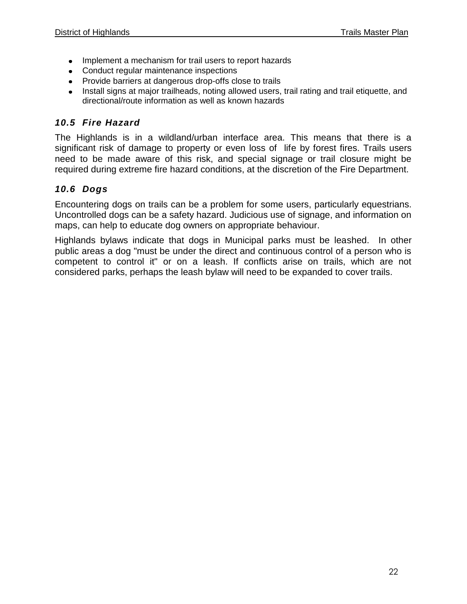- Implement a mechanism for trail users to report hazards
- Conduct regular maintenance inspections
- Provide barriers at dangerous drop-offs close to trails
- Install signs at major trailheads, noting allowed users, trail rating and trail etiquette, and directional/route information as well as known hazards

## *10.5 Fire Hazard*

The Highlands is in a wildland/urban interface area. This means that there is a significant risk of damage to property or even loss of life by forest fires. Trails users need to be made aware of this risk, and special signage or trail closure might be required during extreme fire hazard conditions, at the discretion of the Fire Department.

## *10.6 Dogs*

Encountering dogs on trails can be a problem for some users, particularly equestrians. Uncontrolled dogs can be a safety hazard. Judicious use of signage, and information on maps, can help to educate dog owners on appropriate behaviour.

Highlands bylaws indicate that dogs in Municipal parks must be leashed. In other public areas a dog "must be under the direct and continuous control of a person who is competent to control it" or on a leash. If conflicts arise on trails, which are not considered parks, perhaps the leash bylaw will need to be expanded to cover trails.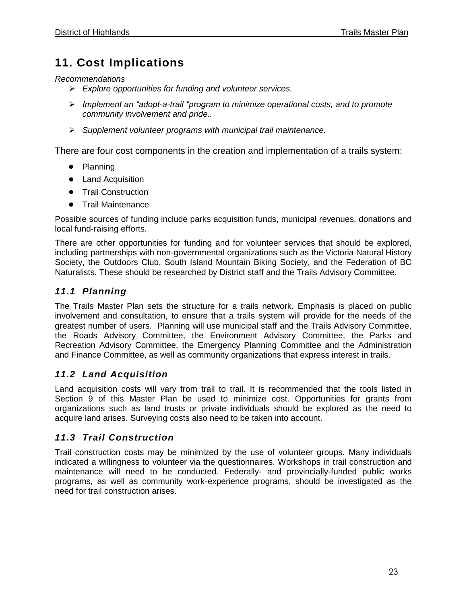## **11. Cost Implications**

*Recommendations*

- *Explore opportunities for funding and volunteer services.*
- *Implement an "adopt-a-trail "program to minimize operational costs, and to promote community involvement and pride..*
- *Supplement volunteer programs with municipal trail maintenance.*

There are four cost components in the creation and implementation of a trails system:

- Planning
- Land Acquisition
- Trail Construction
- Trail Maintenance

Possible sources of funding include parks acquisition funds, municipal revenues, donations and local fund-raising efforts.

There are other opportunities for funding and for volunteer services that should be explored, including partnerships with non-governmental organizations such as the Victoria Natural History Society, the Outdoors Club, South Island Mountain Biking Society, and the Federation of BC Naturalists. These should be researched by District staff and the Trails Advisory Committee.

## *11.1 Planning*

The Trails Master Plan sets the structure for a trails network. Emphasis is placed on public involvement and consultation, to ensure that a trails system will provide for the needs of the greatest number of users. Planning will use municipal staff and the Trails Advisory Committee, the Roads Advisory Committee, the Environment Advisory Committee, the Parks and Recreation Advisory Committee, the Emergency Planning Committee and the Administration and Finance Committee, as well as community organizations that express interest in trails.

### *11.2 Land Acquisition*

Land acquisition costs will vary from trail to trail. It is recommended that the tools listed in Section 9 of this Master Plan be used to minimize cost. Opportunities for grants from organizations such as land trusts or private individuals should be explored as the need to acquire land arises. Surveying costs also need to be taken into account.

### *11.3 Trail Construction*

Trail construction costs may be minimized by the use of volunteer groups. Many individuals indicated a willingness to volunteer via the questionnaires. Workshops in trail construction and maintenance will need to be conducted. Federally- and provincially-funded public works programs, as well as community work-experience programs, should be investigated as the need for trail construction arises.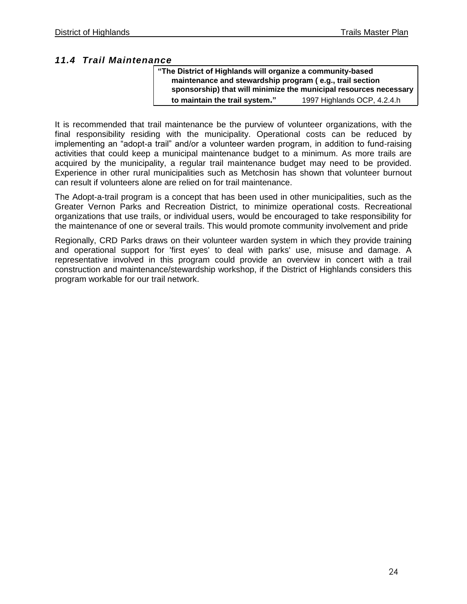#### *11.4 Trail Maintenance*

| "The District of Highlands will organize a community-based        |                             |  |  |  |
|-------------------------------------------------------------------|-----------------------------|--|--|--|
| maintenance and stewardship program (e.g., trail section          |                             |  |  |  |
| sponsorship) that will minimize the municipal resources necessary |                             |  |  |  |
| to maintain the trail system."                                    | 1997 Highlands OCP, 4.2.4.h |  |  |  |

It is recommended that trail maintenance be the purview of volunteer organizations, with the final responsibility residing with the municipality. Operational costs can be reduced by implementing an "adopt-a trail" and/or a volunteer warden program, in addition to fund-raising activities that could keep a municipal maintenance budget to a minimum. As more trails are acquired by the municipality, a regular trail maintenance budget may need to be provided. Experience in other rural municipalities such as Metchosin has shown that volunteer burnout can result if volunteers alone are relied on for trail maintenance.

The Adopt-a-trail program is a concept that has been used in other municipalities, such as the Greater Vernon Parks and Recreation District, to minimize operational costs. Recreational organizations that use trails, or individual users, would be encouraged to take responsibility for the maintenance of one or several trails. This would promote community involvement and pride

Regionally, CRD Parks draws on their volunteer warden system in which they provide training and operational support for 'first eyes' to deal with parks' use, misuse and damage. A representative involved in this program could provide an overview in concert with a trail construction and maintenance/stewardship workshop, if the District of Highlands considers this program workable for our trail network.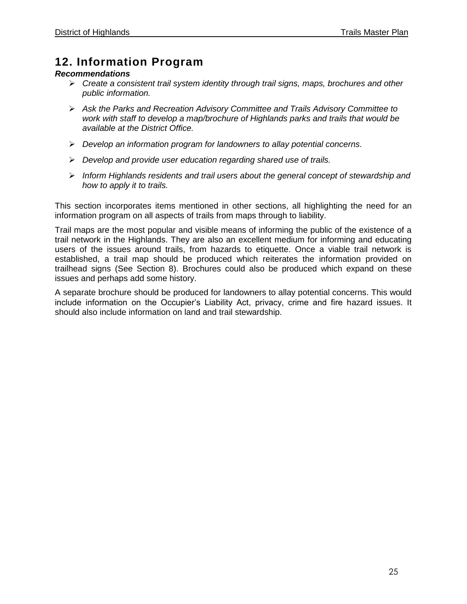## **12. Information Program**

#### *Recommendations*

- *Create a consistent trail system identity through trail signs, maps, brochures and other public information.*
- *Ask the Parks and Recreation Advisory Committee and Trails Advisory Committee to work with staff to develop a map/brochure of Highlands parks and trails that would be available at the District Office.*
- *Develop an information program for landowners to allay potential concerns.*
- *Develop and provide user education regarding shared use of trails.*
- *Inform Highlands residents and trail users about the general concept of stewardship and how to apply it to trails.*

This section incorporates items mentioned in other sections, all highlighting the need for an information program on all aspects of trails from maps through to liability.

Trail maps are the most popular and visible means of informing the public of the existence of a trail network in the Highlands. They are also an excellent medium for informing and educating users of the issues around trails, from hazards to etiquette. Once a viable trail network is established, a trail map should be produced which reiterates the information provided on trailhead signs (See Section 8). Brochures could also be produced which expand on these issues and perhaps add some history.

A separate brochure should be produced for landowners to allay potential concerns. This would include information on the Occupier's Liability Act, privacy, crime and fire hazard issues. It should also include information on land and trail stewardship.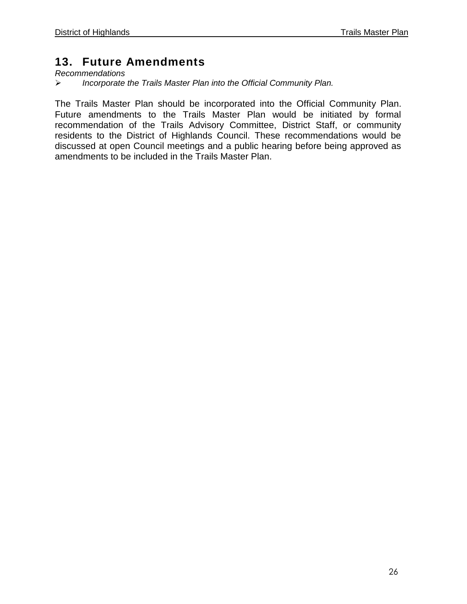## **13. Future Amendments**

*Recommendations*

*Incorporate the Trails Master Plan into the Official Community Plan.*

The Trails Master Plan should be incorporated into the Official Community Plan. Future amendments to the Trails Master Plan would be initiated by formal recommendation of the Trails Advisory Committee, District Staff, or community residents to the District of Highlands Council. These recommendations would be discussed at open Council meetings and a public hearing before being approved as amendments to be included in the Trails Master Plan.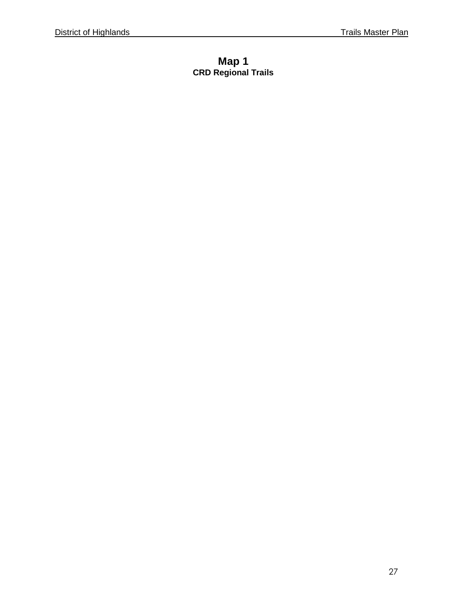## **Map 1 CRD Regional Trails**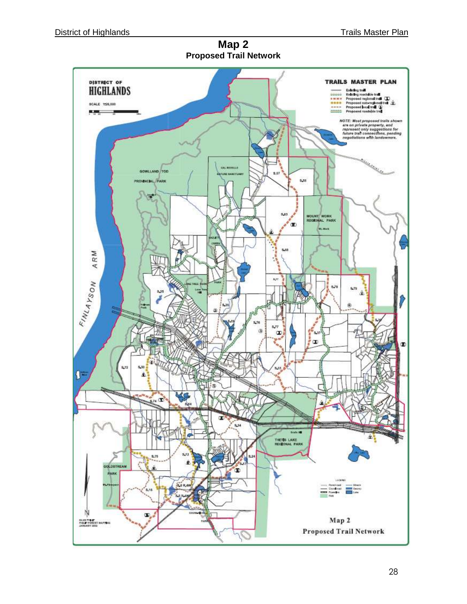**Map 2 Proposed Trail Network**

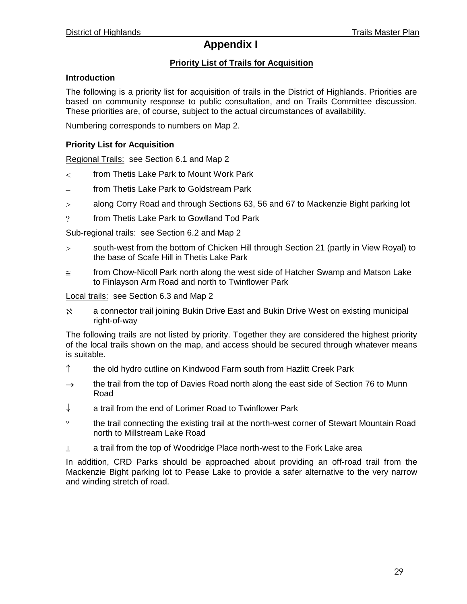## **Appendix I**

#### **Priority List of Trails for Acquisition**

#### **Introduction**

The following is a priority list for acquisition of trails in the District of Highlands. Priorities are based on community response to public consultation, and on Trails Committee discussion. These priorities are, of course, subject to the actual circumstances of availability.

Numbering corresponds to numbers on Map 2.

#### **Priority List for Acquisition**

Regional Trails: see Section 6.1 and Map 2

- from Thetis Lake Park to Mount Work Park  $\lt$
- from Thetis Lake Park to Goldstream Park  $=$
- along Corry Road and through Sections 63, 56 and 67 to Mackenzie Bight parking lot  $\overline{\phantom{a}}$
- $\overline{?}$ from Thetis Lake Park to Gowlland Tod Park

Sub-regional trails: see Section 6.2 and Map 2

- south-west from the bottom of Chicken Hill through Section 21 (partly in View Royal) to  $\geq$ the base of Scafe Hill in Thetis Lake Park
- from Chow-Nicoll Park north along the west side of Hatcher Swamp and Matson Lake  $\cong$ to Finlayson Arm Road and north to Twinflower Park

Local trails: see Section 6.3 and Map 2

 $\aleph$ a connector trail joining Bukin Drive East and Bukin Drive West on existing municipal right-of-way

The following trails are not listed by priority. Together they are considered the highest priority of the local trails shown on the map, and access should be secured through whatever means is suitable.

- $\uparrow$ the old hydro cutline on Kindwood Farm south from Hazlitt Creek Park
- the trail from the top of Davies Road north along the east side of Section 76 to Munn  $\rightarrow$ Road
- ↓ a trail from the end of Lorimer Road to Twinflower Park
- $\circ$ the trail connecting the existing trail at the north-west corner of Stewart Mountain Road north to Millstream Lake Road
- $\pm$ a trail from the top of Woodridge Place north-west to the Fork Lake area

In addition, CRD Parks should be approached about providing an off-road trail from the Mackenzie Bight parking lot to Pease Lake to provide a safer alternative to the very narrow and winding stretch of road.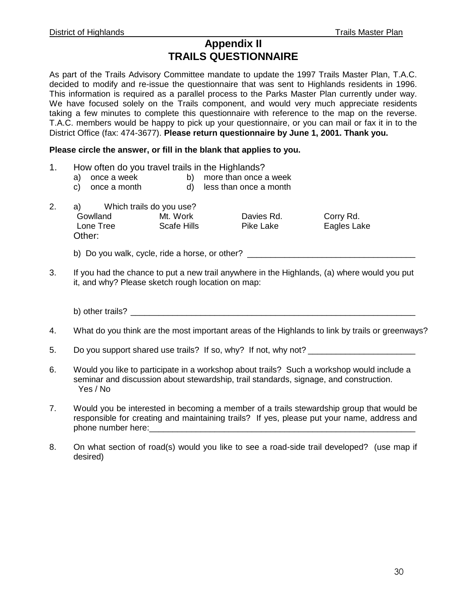## **Appendix II TRAILS QUESTIONNAIRE**

As part of the Trails Advisory Committee mandate to update the 1997 Trails Master Plan, T.A.C. decided to modify and re-issue the questionnaire that was sent to Highlands residents in 1996. This information is required as a parallel process to the Parks Master Plan currently under way. We have focused solely on the Trails component, and would very much appreciate residents taking a few minutes to complete this questionnaire with reference to the map on the reverse. T.A.C. members would be happy to pick up your questionnaire, or you can mail or fax it in to the District Office (fax: 474-3677). **Please return questionnaire by June 1, 2001. Thank you.**

#### **Please circle the answer, or fill in the blank that applies to you.**

- 1. How often do you travel trails in the Highlands?
	- a) once a week b) more than once a week
	- c) once a month d) less than once a month
- 2. a) Which trails do you use? Gowlland Mt. Work Davies Rd. Corry Rd. Lone Tree Scafe Hills Pike Lake Eagles Lake Other:
	- b) Do you walk, cycle, ride a horse, or other? \_\_\_\_\_\_\_\_\_\_\_\_\_\_\_\_\_\_\_\_\_\_\_\_\_\_\_\_\_\_\_\_\_
- 3. If you had the chance to put a new trail anywhere in the Highlands, (a) where would you put it, and why? Please sketch rough location on map:

b) other trails?  $\Box$ 

- 4. What do you think are the most important areas of the Highlands to link by trails or greenways?
- 5. Do you support shared use trails? If so, why? If not, why not?
- 6. Would you like to participate in a workshop about trails? Such a workshop would include a seminar and discussion about stewardship, trail standards, signage, and construction. Yes / No
- 7. Would you be interested in becoming a member of a trails stewardship group that would be responsible for creating and maintaining trails? If yes, please put your name, address and phone number here:
- 8. On what section of road(s) would you like to see a road-side trail developed? (use map if desired)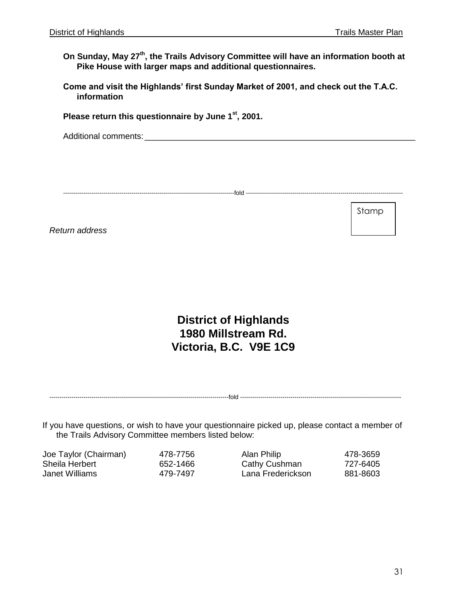Stamp

**On Sunday, May 27th, the Trails Advisory Committee will have an information booth at Pike House with larger maps and additional questionnaires.**

**Come and visit the Highlands' first Sunday Market of 2001, and check out the T.A.C. information**

**Please return this questionnaire by June 1st, 2001.**

Additional comments:  $\Box$ 

-------------------------------------------------------------------------------------fold ------------------------------------------------------------------------------

*Return address*

**District of Highlands 1980 Millstream Rd. Victoria, B.C. V9E 1C9**

-----------------------------------------------------------------------------------------fold --------------------------------------------------------------------------------

If you have questions, or wish to have your questionnaire picked up, please contact a member of the Trails Advisory Committee members listed below:

| Joe Taylor (Chairman) | 478-7756 | Alan Philip       | 478-3659 |
|-----------------------|----------|-------------------|----------|
| Sheila Herbert        | 652-1466 | Cathy Cushman     | 727-6405 |
| Janet Williams        | 479-7497 | Lana Frederickson | 881-8603 |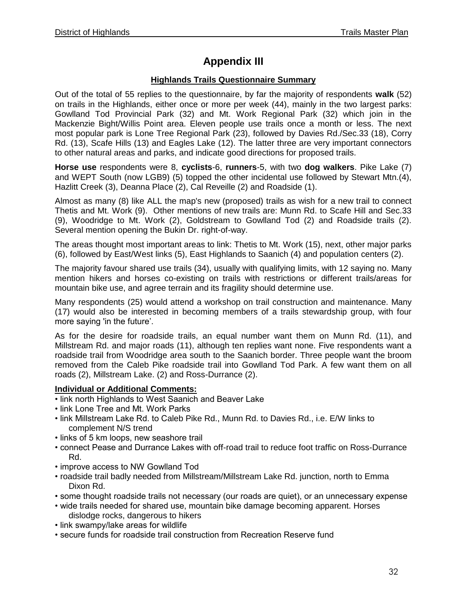## **Appendix III**

#### **Highlands Trails Questionnaire Summary**

Out of the total of 55 replies to the questionnaire, by far the majority of respondents **walk** (52) on trails in the Highlands, either once or more per week (44), mainly in the two largest parks: Gowlland Tod Provincial Park (32) and Mt. Work Regional Park (32) which join in the Mackenzie Bight/Willis Point area. Eleven people use trails once a month or less. The next most popular park is Lone Tree Regional Park (23), followed by Davies Rd./Sec.33 (18), Corry Rd. (13), Scafe Hills (13) and Eagles Lake (12). The latter three are very important connectors to other natural areas and parks, and indicate good directions for proposed trails.

**Horse use** respondents were 8, **cyclists**-6, **runners**-5, with two **dog walkers**. Pike Lake (7) and WEPT South (now LGB9) (5) topped the other incidental use followed by Stewart Mtn.(4), Hazlitt Creek (3), Deanna Place (2), Cal Reveille (2) and Roadside (1).

Almost as many (8) like ALL the map's new (proposed) trails as wish for a new trail to connect Thetis and Mt. Work (9). Other mentions of new trails are: Munn Rd. to Scafe Hill and Sec.33 (9), Woodridge to Mt. Work (2), Goldstream to Gowlland Tod (2) and Roadside trails (2). Several mention opening the Bukin Dr. right-of-way.

The areas thought most important areas to link: Thetis to Mt. Work (15), next, other major parks (6), followed by East/West links (5), East Highlands to Saanich (4) and population centers (2).

The majority favour shared use trails (34), usually with qualifying limits, with 12 saying no. Many mention hikers and horses co-existing on trails with restrictions or different trails/areas for mountain bike use, and agree terrain and its fragility should determine use.

Many respondents (25) would attend a workshop on trail construction and maintenance. Many (17) would also be interested in becoming members of a trails stewardship group, with four more saying 'in the future'.

As for the desire for roadside trails, an equal number want them on Munn Rd. (11), and Millstream Rd. and major roads (11), although ten replies want none. Five respondents want a roadside trail from Woodridge area south to the Saanich border. Three people want the broom removed from the Caleb Pike roadside trail into Gowlland Tod Park. A few want them on all roads (2), Millstream Lake. (2) and Ross-Durrance (2).

#### **Individual or Additional Comments:**

• link north Highlands to West Saanich and Beaver Lake

- link Lone Tree and Mt. Work Parks
- link Millstream Lake Rd. to Caleb Pike Rd., Munn Rd. to Davies Rd., i.e. E/W links to complement N/S trend
- links of 5 km loops, new seashore trail
- connect Pease and Durrance Lakes with off-road trail to reduce foot traffic on Ross-Durrance Rd.
- improve access to NW Gowlland Tod
- roadside trail badly needed from Millstream/Millstream Lake Rd. junction, north to Emma Dixon Rd.
- some thought roadside trails not necessary (our roads are quiet), or an unnecessary expense
- wide trails needed for shared use, mountain bike damage becoming apparent. Horses dislodge rocks, dangerous to hikers
- link swampy/lake areas for wildlife
- secure funds for roadside trail construction from Recreation Reserve fund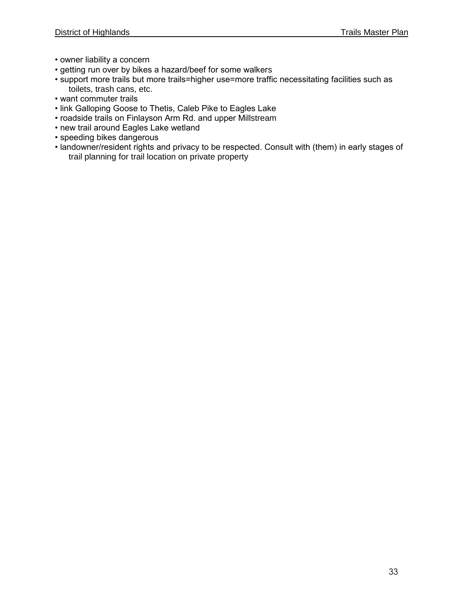- owner liability a concern
- getting run over by bikes a hazard/beef for some walkers
- support more trails but more trails=higher use=more traffic necessitating facilities such as toilets, trash cans, etc.
- want commuter trails
- link Galloping Goose to Thetis, Caleb Pike to Eagles Lake
- roadside trails on Finlayson Arm Rd. and upper Millstream
- new trail around Eagles Lake wetland
- speeding bikes dangerous
- landowner/resident rights and privacy to be respected. Consult with (them) in early stages of trail planning for trail location on private property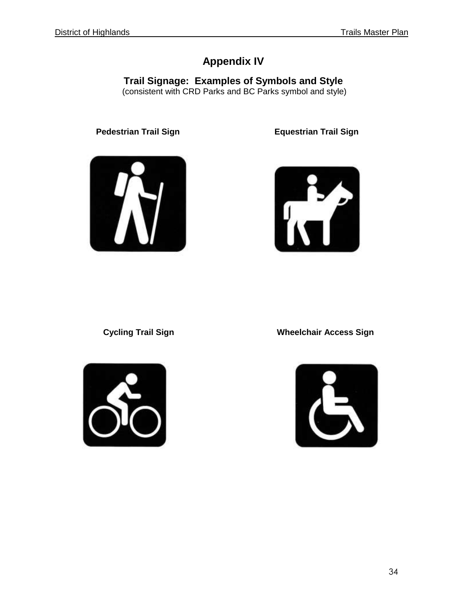## **Appendix IV**

**Trail Signage: Examples of Symbols and Style** (consistent with CRD Parks and BC Parks symbol and style)

**Pedestrian Trail Sign**  Equestrian Trail Sign







 **Cycling Trail Sign Wheelchair Access Sign**

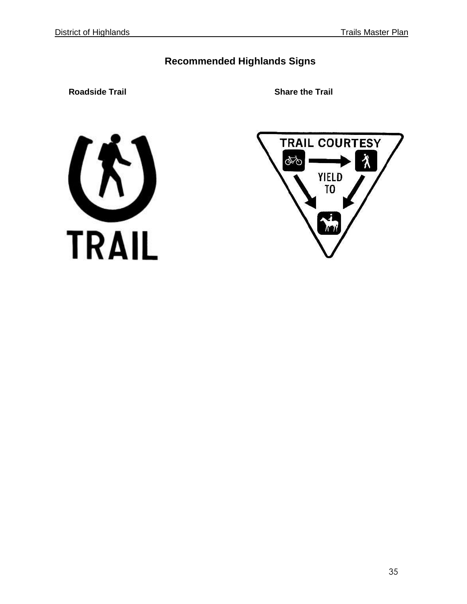## **Recommended Highlands Signs**

**Roadside Trail Share the Trail**



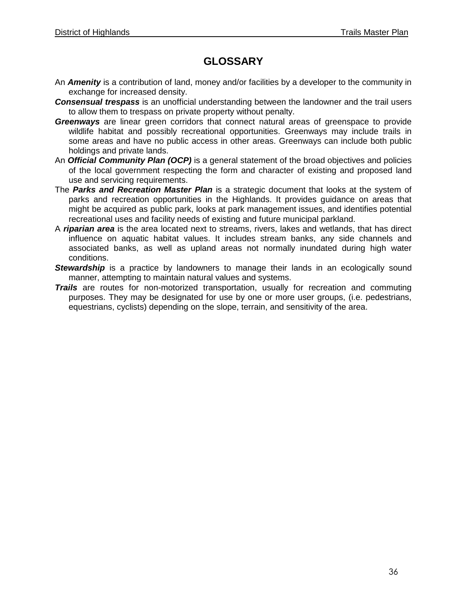## **GLOSSARY**

- An *Amenity* is a contribution of land, money and/or facilities by a developer to the community in exchange for increased density.
- *Consensual trespass* is an unofficial understanding between the landowner and the trail users to allow them to trespass on private property without penalty.
- *Greenways* are linear green corridors that connect natural areas of greenspace to provide wildlife habitat and possibly recreational opportunities. Greenways may include trails in some areas and have no public access in other areas. Greenways can include both public holdings and private lands.
- An *Official Community Plan (OCP)* is a general statement of the broad objectives and policies of the local government respecting the form and character of existing and proposed land use and servicing requirements.
- The *Parks and Recreation Master Plan* is a strategic document that looks at the system of parks and recreation opportunities in the Highlands. It provides guidance on areas that might be acquired as public park, looks at park management issues, and identifies potential recreational uses and facility needs of existing and future municipal parkland.
- A *riparian area* is the area located next to streams, rivers, lakes and wetlands, that has direct influence on aquatic habitat values. It includes stream banks, any side channels and associated banks, as well as upland areas not normally inundated during high water conditions.
- **Stewardship** is a practice by landowners to manage their lands in an ecologically sound manner, attempting to maintain natural values and systems.
- *Trails* are routes for non-motorized transportation, usually for recreation and commuting purposes. They may be designated for use by one or more user groups, (i.e. pedestrians, equestrians, cyclists) depending on the slope, terrain, and sensitivity of the area.